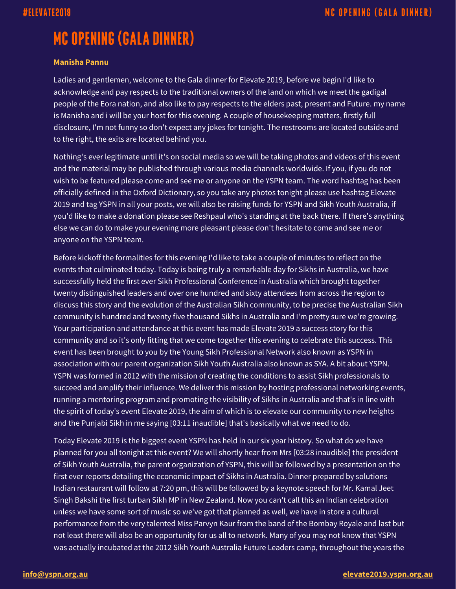# **MC OPENING (GALA DINNER)**

### **Manisha Pannu**

Ladies and gentlemen, welcome to the Gala dinner for Elevate 2019, before we begin I'd like to acknowledge and pay respects to the traditional owners of the land on which we meet the gadigal people of the Eora nation, and also like to pay respects to the elders past, present and Future. my name is Manisha and i will be your host for this evening. A couple of housekeeping matters, firstly full disclosure, I'm not funny so don't expect any jokes for tonight. The restrooms are located outside and to the right, the exits are located behind you.

Nothing's ever legitimate until it's on social media so we will be taking photos and videos of this event and the material may be published through various media channels worldwide. If you, if you do not wish to be featured please come and see me or anyone on the YSPN team. The word hashtag has been officially defined in the Oxford Dictionary, so you take any photos tonight please use hashtag Elevate 2019 and tag YSPN in all your posts, we will also be raising funds for YSPN and Sikh Youth Australia, if you'd like to make a donation please see Reshpaul who's standing at the back there. If there's anything else we can do to make your evening more pleasant please don't hesitate to come and see me or anyone on the YSPN team.

Before kickoff the formalities for this evening I'd like to take a couple of minutes to reflect on the events that culminated today. Today is being truly a remarkable day for Sikhs in Australia, we have successfully held the first ever Sikh Professional Conference in Australia which brought together twenty distinguished leaders and over one hundred and sixty attendees from across the region to discuss this story and the evolution of the Australian Sikh community, to be precise the Australian Sikh community is hundred and twenty five thousand Sikhs in Australia and I'm pretty sure we're growing. Your participation and attendance at this event has made Elevate 2019 a success story for this community and so it's only fitting that we come together this evening to celebrate this success. This event has been brought to you by the Young Sikh Professional Network also known as YSPN in association with our parent organization Sikh Youth Australia also known as SYA. A bit about YSPN. YSPN was formed in 2012 with the mission of creating the conditions to assist Sikh professionals to succeed and amplify their influence. We deliver this mission by hosting professional networking events, running a mentoring program and promoting the visibility of Sikhs in Australia and that's in line with the spirit of today's event Elevate 2019, the aim of which is to elevate our community to new heights and the Punjabi Sikh in me saying [03:11 inaudible] that's basically what we need to do.

Today Elevate 2019 is the biggest event YSPN has held in our six year history. So what do we have planned for you all tonight at this event? We will shortly hear from Mrs [03:28 inaudible] the president of Sikh Youth Australia, the parent organization of YSPN, this will be followed by a presentation on the first ever reports detailing the economic impact of Sikhs in Australia. Dinner prepared by solutions Indian restaurant will follow at 7:20 pm, this will be followed by a keynote speech for Mr. Kamal Jeet Singh Bakshi the first turban Sikh MP in New Zealand. Now you can't call this an Indian celebration unless we have some sort of music so we've got that planned as well, we have in store a cultural performance from the very talented Miss Parvyn Kaur from the band of the Bombay Royale and last but not least there will also be an opportunity for us all to network. Many of you may not know that YSPN was actually incubated at the 2012 Sikh Youth Australia Future Leaders camp, throughout the years the